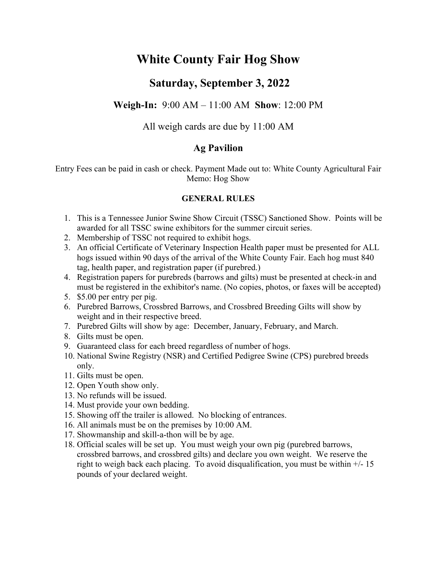# **White County Fair Hog Show**

# **Saturday, September 3, 2022**

# **Weigh-In:** 9:00 AM – 11:00 AM **Show**: 12:00 PM

All weigh cards are due by 11:00 AM

# **Ag Pavilion**

Entry Fees can be paid in cash or check. Payment Made out to: White County Agricultural Fair Memo: Hog Show

### **GENERAL RULES**

- 1. This is a Tennessee Junior Swine Show Circuit (TSSC) Sanctioned Show. Points will be awarded for all TSSC swine exhibitors for the summer circuit series.
- 2. Membership of TSSC not required to exhibit hogs.
- 3. An official Certificate of Veterinary Inspection Health paper must be presented for ALL hogs issued within 90 days of the arrival of the White County Fair. Each hog must 840 tag, health paper, and registration paper (if purebred.)
- 4. Registration papers for purebreds (barrows and gilts) must be presented at check-in and must be registered in the exhibitor's name. (No copies, photos, or faxes will be accepted)
- 5. \$5.00 per entry per pig.
- 6. Purebred Barrows, Crossbred Barrows, and Crossbred Breeding Gilts will show by weight and in their respective breed.
- 7. Purebred Gilts will show by age: December, January, February, and March.
- 8. Gilts must be open.
- 9. Guaranteed class for each breed regardless of number of hogs.
- 10. National Swine Registry (NSR) and Certified Pedigree Swine (CPS) purebred breeds only.
- 11. Gilts must be open.
- 12. Open Youth show only.
- 13. No refunds will be issued.
- 14. Must provide your own bedding.
- 15. Showing off the trailer is allowed. No blocking of entrances.
- 16. All animals must be on the premises by 10:00 AM.
- 17. Showmanship and skill-a-thon will be by age.
- 18. Official scales will be set up. You must weigh your own pig (purebred barrows, crossbred barrows, and crossbred gilts) and declare you own weight. We reserve the right to weigh back each placing. To avoid disqualification, you must be within  $+/-15$ pounds of your declared weight.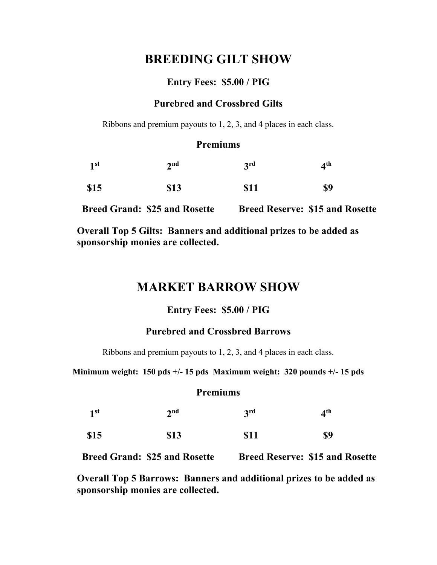# **BREEDING GILT SHOW**

## **Entry Fees: \$5.00 / PIG**

## **Purebred and Crossbred Gilts**

Ribbons and premium payouts to 1, 2, 3, and 4 places in each class.

### **Premiums**

| 1 <sup>st</sup> | 2 <sup>nd</sup> | 3 <sup>rd</sup> | 4 <sup>th</sup> |
|-----------------|-----------------|-----------------|-----------------|
| \$15            | <b>\$13</b>     | <b>\$11</b>     | \$9             |

 **Breed Grand: \$25 and Rosette Breed Reserve: \$15 and Rosette**

**Overall Top 5 Gilts: Banners and additional prizes to be added as sponsorship monies are collected.** 

# **MARKET BARROW SHOW**

#### **Entry Fees: \$5.00 / PIG**

## **Purebred and Crossbred Barrows**

Ribbons and premium payouts to 1, 2, 3, and 4 places in each class.

**Minimum weight: 150 pds +/- 15 pds Maximum weight: 320 pounds +/- 15 pds** 

#### **Premiums**

| 1 <sup>st</sup> | 2 <sup>nd</sup> | 3 <sup>rd</sup> | 4 <sup>th</sup> |
|-----------------|-----------------|-----------------|-----------------|
| \$15            | \$13            | \$11            | \$9             |

 **Breed Grand: \$25 and Rosette Breed Reserve: \$15 and Rosette**

**Overall Top 5 Barrows: Banners and additional prizes to be added as sponsorship monies are collected.**